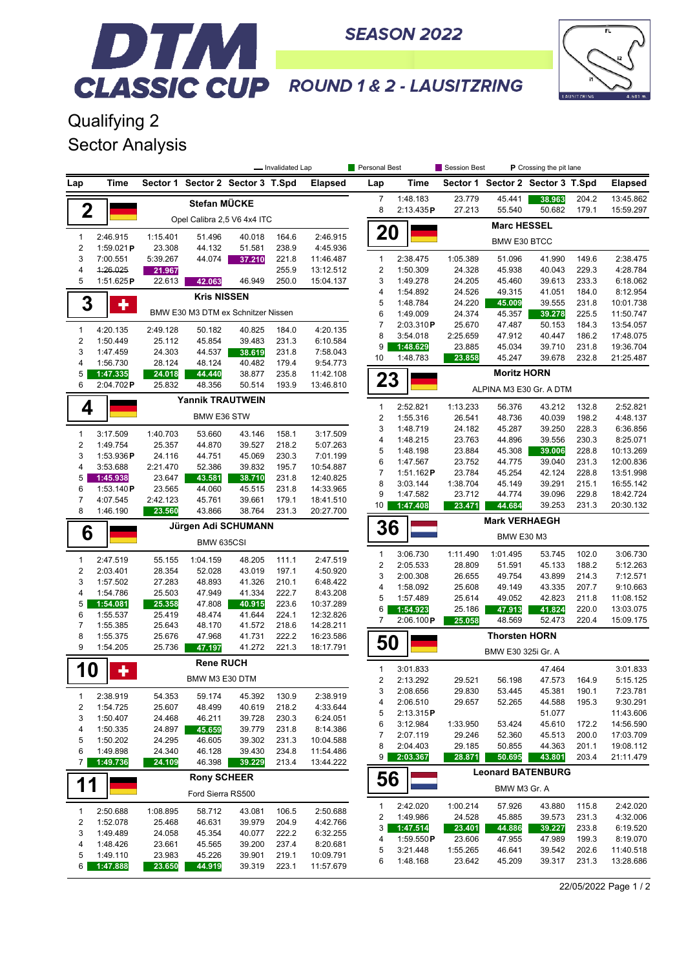

## DTM **CLASSIC CUP ROUND 1& 2 - LAUSITZRING**

**SEASON 2022** 

Qualifying 2 Sector Analysis

|                                         |                         | - Invalidated Lap  |                         |                                    |                |                        | Personal Best           | Session Best<br>P Crossing the pit lane |                    |                      |                                  |                |                        |  |
|-----------------------------------------|-------------------------|--------------------|-------------------------|------------------------------------|----------------|------------------------|-------------------------|-----------------------------------------|--------------------|----------------------|----------------------------------|----------------|------------------------|--|
| Lap                                     | Time                    |                    |                         | Sector 1 Sector 2 Sector 3 T.Spd   |                | <b>Elapsed</b>         | Lap                     | Time                                    |                    |                      | Sector 1 Sector 2 Sector 3 T.Spd |                | <b>Elapsed</b>         |  |
|                                         |                         |                    | Stefan MÜCKE            |                                    |                |                        | $\overline{7}$          | 1:48.183                                | 23.779             | 45.441               | 38.963                           | 204.2          | 13:45.862              |  |
| $\mathbf 2$                             |                         |                    |                         | Opel Calibra 2,5 V6 4x4 ITC        |                |                        | 8                       | 2:13.435P                               | 27.213             | 55.540               | 50.682                           | 179.1          | 15:59.297              |  |
|                                         |                         |                    |                         |                                    |                |                        | 20                      |                                         | <b>Marc HESSEL</b> |                      |                                  |                |                        |  |
| $\mathbf{1}$<br>$\sqrt{2}$              | 2:46.915<br>1:59.021P   | 1:15.401<br>23.308 | 51.496<br>44.132        | 40.018<br>51.581                   | 164.6<br>238.9 | 2:46.915<br>4:45.936   |                         |                                         |                    | <b>BMW E30 BTCC</b>  |                                  |                |                        |  |
| 3                                       | 7:00.551                | 5:39.267           | 44.074                  | 37.210                             | 221.8          | 11:46.487              | $\mathbf{1}$            | 2:38.475                                | 1:05.389           | 51.096               | 41.990                           | 149.6          | 2:38.475               |  |
| 4                                       | 4:26.025                | 21.967             |                         |                                    | 255.9          | 13:12.512              | 2                       | 1:50.309                                | 24.328             | 45.938               | 40.043                           | 229.3          | 4:28.784               |  |
| 5                                       | 1:51.625P               | 22.613             | 42.063                  | 46.949                             | 250.0          | 15:04.137              | 3                       | 1:49.278                                | 24.205             | 45.460               | 39.613                           | 233.3          | 6:18.062               |  |
| 3                                       | ٠                       |                    | <b>Kris NISSEN</b>      |                                    |                |                        | 4<br>5                  | 1:54.892<br>1:48.784                    | 24.526<br>24.220   | 49.315<br>45.009     | 41.051<br>39.555                 | 184.0<br>231.8 | 8:12.954<br>10:01.738  |  |
|                                         |                         |                    |                         | BMW E30 M3 DTM ex Schnitzer Nissen |                |                        | 6                       | 1:49.009                                | 24.374             | 45.357               | 39.278                           | 225.5          | 11:50.747              |  |
| $\mathbf{1}$                            | 4:20.135                | 2:49.128           | 50.182                  | 40.825                             | 184.0          | 4:20.135               | $\overline{7}$          | 2:03.310P                               | 25.670             | 47.487               | 50.153                           | 184.3          | 13:54.057              |  |
| $\overline{\mathbf{c}}$                 | 1:50.449                | 25.112             | 45.854                  | 39.483                             | 231.3          | 6:10.584               | 8                       | 3:54.018                                | 2:25.659           | 47.912               | 40.447                           | 186.2          | 17:48.075              |  |
| 3                                       | 1:47.459                | 24.303             | 44.537                  | 38.619                             | 231.8          | 7:58.043               | 9                       | 1:48.629                                | 23.885             | 45.034               | 39.710                           | 231.8          | 19:36.704              |  |
| 4                                       | 1:56.730                | 28.124             | 48.124                  | 40.482                             | 179.4          | 9:54.773               | 10                      | 1:48.783                                | 23.858             | 45.247               | 39.678                           | 232.8          | 21:25.487              |  |
| 5                                       | 1:47.335                | 24.018             | 44.440                  | 38.877                             | 235.8          | 11:42.108              | 23                      |                                         |                    | <b>Moritz HORN</b>   |                                  |                |                        |  |
| 6                                       | 2:04.702P               | 25.832             | 48.356                  | 50.514                             | 193.9          | 13:46.810              |                         |                                         |                    |                      | ALPINA M3 E30 Gr. A DTM          |                |                        |  |
| 4                                       |                         |                    | <b>Yannik TRAUTWEIN</b> |                                    |                |                        | $\mathbf{1}$            | 2:52.821                                | 1:13.233           | 56.376               | 43.212                           | 132.8          | 2:52.821               |  |
|                                         |                         |                    | BMW E36 STW             |                                    |                |                        | $\sqrt{2}$              | 1:55.316                                | 26.541             | 48.736               | 40.039                           | 198.2          | 4:48.137               |  |
| $\mathbf{1}$                            | 3:17.509                | 1:40.703           | 53.660                  | 43.146                             | 158.1          | 3:17.509               | 3                       | 1:48.719                                | 24.182             | 45.287               | 39.250                           | 228.3          | 6:36.856               |  |
| $\overline{\mathbf{c}}$                 | 1:49.754                | 25.357             | 44.870                  | 39.527                             | 218.2          | 5:07.263               | 4<br>5                  | 1:48.215<br>1:48.198                    | 23.763<br>23.884   | 44.896<br>45.308     | 39.556<br>39.006                 | 230.3<br>228.8 | 8:25.071<br>10:13.269  |  |
| 3                                       | 1:53.936 $P$            | 24.116             | 44.751                  | 45.069                             | 230.3          | 7:01.199               | 6                       | 1:47.567                                | 23.752             | 44.775               | 39.040                           | 231.3          | 12:00.836              |  |
| $\overline{4}$                          | 3:53.688                | 2:21.470           | 52.386                  | 39.832                             | 195.7          | 10:54.887              | $\overline{7}$          | 1:51.162P                               | 23.784             | 45.254               | 42.124                           | 228.8          | 13:51.998              |  |
| 5                                       | 1:45.938                | 23.647             | 43.581                  | 38.710                             | 231.8          | 12:40.825              | 8                       | 3:03.144                                | 1:38.704           | 45.149               | 39.291                           | 215.1          | 16:55.142              |  |
| 6<br>$\overline{7}$                     | 1:53.140P               | 23.565             | 44.060                  | 45.515                             | 231.8          | 14:33.965              | 9                       | 1:47.582                                | 23.712             | 44.774               | 39.096                           | 229.8          | 18:42.724              |  |
| 8                                       | 4:07.545<br>1:46.190    | 2:42.123<br>23.560 | 45.761<br>43.866        | 39.661<br>38.764                   | 179.1<br>231.3 | 18:41.510<br>20:27.700 | 10                      | 1:47.408                                | 23.471             | 44.684               | 39.253                           | 231.3          | 20:30.132              |  |
|                                         |                         |                    |                         | Jürgen Adi SCHUMANN                |                |                        | 36                      |                                         |                    | <b>Mark VERHAEGH</b> |                                  |                |                        |  |
|                                         | 6<br>BMW 635CSI         |                    |                         |                                    |                |                        |                         |                                         | <b>BMW E30 M3</b>  |                      |                                  |                |                        |  |
|                                         |                         |                    |                         |                                    |                |                        | $\mathbf{1}$            | 3:06.730                                | 1:11.490           | 1:01.495             | 53.745                           | 102.0          | 3:06.730               |  |
| $\mathbf{1}$<br>$\overline{\mathbf{c}}$ | 2:47.519<br>2:03.401    | 55.155<br>28.354   | 1:04.159<br>52.028      | 48.205<br>43.019                   | 111.1<br>197.1 | 2:47.519<br>4:50.920   | $\overline{\mathbf{c}}$ | 2:05.533                                | 28.809             | 51.591               | 45.133                           | 188.2          | 5:12.263               |  |
| 3                                       | 1:57.502                | 27.283             | 48.893                  | 41.326                             | 210.1          | 6:48.422               | 3                       | 2:00.308                                | 26.655             | 49.754               | 43.899                           | 214.3          | 7:12.571               |  |
| $\overline{4}$                          | 1:54.786                | 25.503             | 47.949                  | 41.334                             | 222.7          | 8:43.208               | 4                       | 1:58.092                                | 25.608             | 49.149               | 43.335                           | 207.7          | 9:10.663               |  |
| 5                                       | 1:54.081                | 25.358             | 47.808                  | 40.915                             | 223.6          | 10:37.289              | 5<br>6                  | 1:57.489                                | 25.614<br>25.186   | 49.052               | 42.823                           | 211.8<br>220.0 | 11:08.152<br>13:03.075 |  |
| 6                                       | 1:55.537                | 25.419             | 48.474                  | 41.644                             | 224.1          | 12:32.826              | 7                       | 1:54.923<br>2:06.100P                   | 25.058             | 47.913<br>48.569     | 41.824<br>52.473                 | 220.4          | 15:09.175              |  |
| 7                                       | 1:55.385                | 25.643             | 48.170                  | 41.572                             | 218.6          | 14:28.211              |                         |                                         |                    |                      |                                  |                |                        |  |
| 8<br>9                                  | 1:55.375<br>1:54.205    | 25.676<br>25.736   | 47.968<br>47.197        | 41.731<br>41.272                   | 222.2<br>221.3 | 16:23.586<br>18:17.791 | 50                      |                                         |                    | <b>Thorsten HORN</b> |                                  |                |                        |  |
|                                         |                         |                    |                         |                                    |                |                        |                         |                                         |                    | BMW E30 325i Gr. A   |                                  |                |                        |  |
| 10                                      | ٠                       |                    | <b>Rene RUCH</b>        |                                    |                |                        | $\mathbf{1}$            | 3:01.833                                |                    |                      | 47.464                           |                | 3:01.833               |  |
|                                         |                         |                    | BMW M3 E30 DTM          |                                    |                |                        | 2                       | 2:13.292                                | 29.521             | 56.198               | 47.573                           | 164.9          | 5:15.125               |  |
| 1                                       | 2:38.919                | 54.353             | 59.174                  | 45.392                             | 130.9          | 2:38.919               | 3                       | 2:08.656                                | 29.830             | 53.445               | 45.381                           | 190.1          | 7:23.781               |  |
| 2                                       | 1:54.725                | 25.607             | 48.499                  | 40.619                             | 218.2          | 4:33.644               | 4                       | 2:06.510                                | 29.657             | 52.265               | 44.588                           | 195.3          | 9:30.291               |  |
| 3                                       | 1:50.407                | 24.468             | 46.211                  | 39.728                             | 230.3          | 6:24.051               | 5<br>6                  | 2:13.315P<br>3:12.984                   | 1:33.950           | 53.424               | 51.077<br>45.610                 | 172.2          | 11:43.606<br>14:56.590 |  |
| 4                                       | 1:50.335                | 24.897             | 45.659                  | 39.779                             | 231.8          | 8:14.386               | 7                       | 2:07.119                                | 29.246             | 52.360               | 45.513                           | 200.0          | 17:03.709              |  |
| 5                                       | 1:50.202                | 24.295             | 46.605                  | 39.302                             | 231.3          | 10:04.588              | 8                       | 2:04.403                                | 29.185             | 50.855               | 44.363                           | 201.1          | 19:08.112              |  |
| 6                                       | 1:49.898                | 24.340             | 46.128<br>46.398        | 39.430                             | 234.8          | 11:54.486              | 9 <sup>1</sup>          | 2:03.367                                | 28.871             | 50.695               | 43.801                           | 203.4          | 21:11.479              |  |
| $\overline{7}$                          | 1:49.736                | 24.109             |                         | 39.229                             | 213.4          | 13:44.222              |                         |                                         |                    |                      | <b>Leonard BATENBURG</b>         |                |                        |  |
| 1                                       | <b>Rony SCHEER</b><br>1 |                    |                         |                                    |                |                        | 56                      |                                         | BMW M3 Gr. A       |                      |                                  |                |                        |  |
|                                         |                         |                    | Ford Sierra RS500       |                                    |                |                        | 1                       | 2:42.020                                | 1:00.214           | 57.926               | 43.880                           | 115.8          | 2:42.020               |  |
| $\mathbf{1}$                            | 2:50.688                | 1:08.895           | 58.712                  | 43.081                             | 106.5          | 2:50.688               | 2                       | 1:49.986                                | 24.528             | 45.885               | 39.573                           | 231.3          | 4:32.006               |  |
| $\sqrt{2}$                              | 1:52.078                | 25.468             | 46.631                  | 39.979                             | 204.9          | 4:42.766               | 3                       | 1:47.514                                | 23.401             | 44.886               | 39.227                           | 233.8          | 6:19.520               |  |
| 3                                       | 1:49.489                | 24.058             | 45.354                  | 40.077                             | 222.2          | 6:32.255               | 4                       | 1:59.550P                               | 23.606             | 47.955               | 47.989                           | 199.3          | 8:19.070               |  |
| 4<br>5                                  | 1:48.426<br>1:49.110    | 23.661<br>23.983   | 45.565<br>45.226        | 39.200<br>39.901                   | 237.4<br>219.1 | 8:20.681<br>10:09.791  | 5                       | 3:21.448                                | 1:55.265           | 46.641               | 39.542                           | 202.6          | 11:40.518              |  |
|                                         |                         | 23.650             | 44.919                  | 39.319                             | 223.1          | 11:57.679              | 6                       | 1:48.168                                | 23.642             | 45.209               | 39.317                           | 231.3          | 13:28.686              |  |

22/05/2022 Page 1 / 2